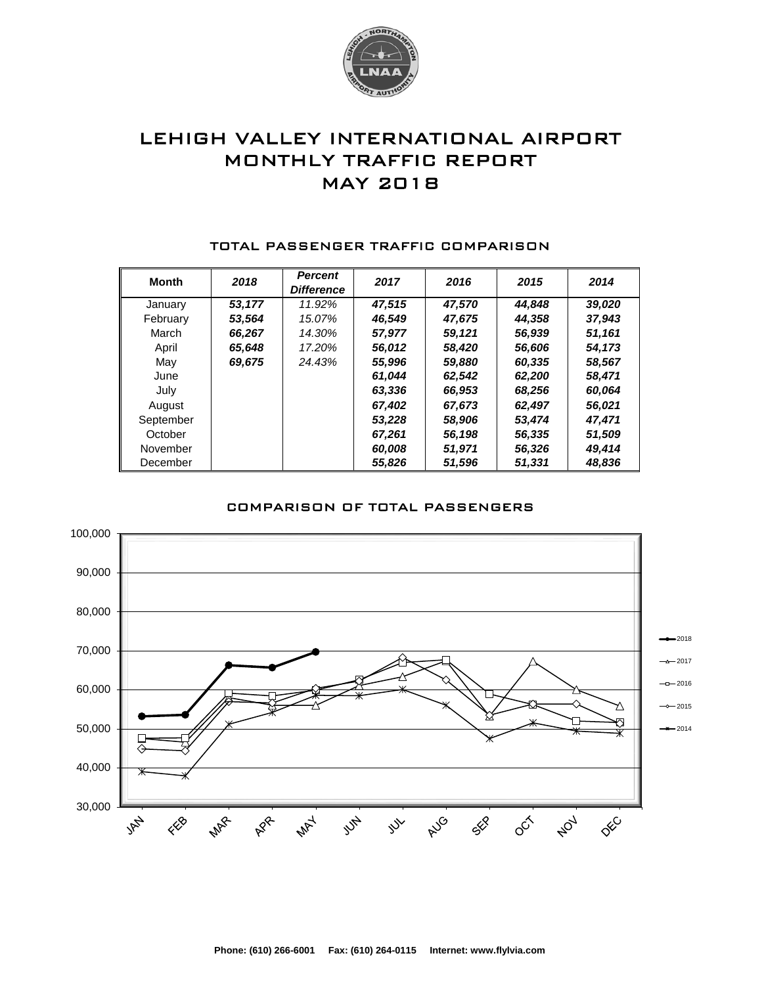

# LEHIGH VALLEY INTERNATIONAL AIRPORT MONTHLY TRAFFIC REPORT MAY 2018

| <b>Month</b> | 2018   | <b>Percent</b><br><b>Difference</b> | 2017   | 2016   | 2015   | 2014   |
|--------------|--------|-------------------------------------|--------|--------|--------|--------|
| January      | 53.177 | 11.92%                              | 47.515 | 47.570 | 44.848 | 39,020 |
| February     | 53,564 | 15.07%                              | 46.549 | 47,675 | 44.358 | 37,943 |
| March        | 66,267 | 14.30%                              | 57,977 | 59,121 | 56,939 | 51,161 |
| April        | 65,648 | 17.20%                              | 56,012 | 58,420 | 56,606 | 54,173 |
| May          | 69,675 | 24.43%                              | 55,996 | 59,880 | 60,335 | 58,567 |
| June         |        |                                     | 61,044 | 62.542 | 62,200 | 58,471 |
| July         |        |                                     | 63,336 | 66,953 | 68,256 | 60,064 |
| August       |        |                                     | 67.402 | 67,673 | 62,497 | 56,021 |
| September    |        |                                     | 53,228 | 58,906 | 53.474 | 47.471 |
| October      |        |                                     | 67,261 | 56,198 | 56,335 | 51,509 |
| November     |        |                                     | 60,008 | 51,971 | 56,326 | 49,414 |
| December     |        |                                     | 55,826 | 51,596 | 51,331 | 48,836 |

#### TOTAL PASSENGER TRAFFIC COMPARISON

### COMPARISON OF TOTAL PASSENGERS

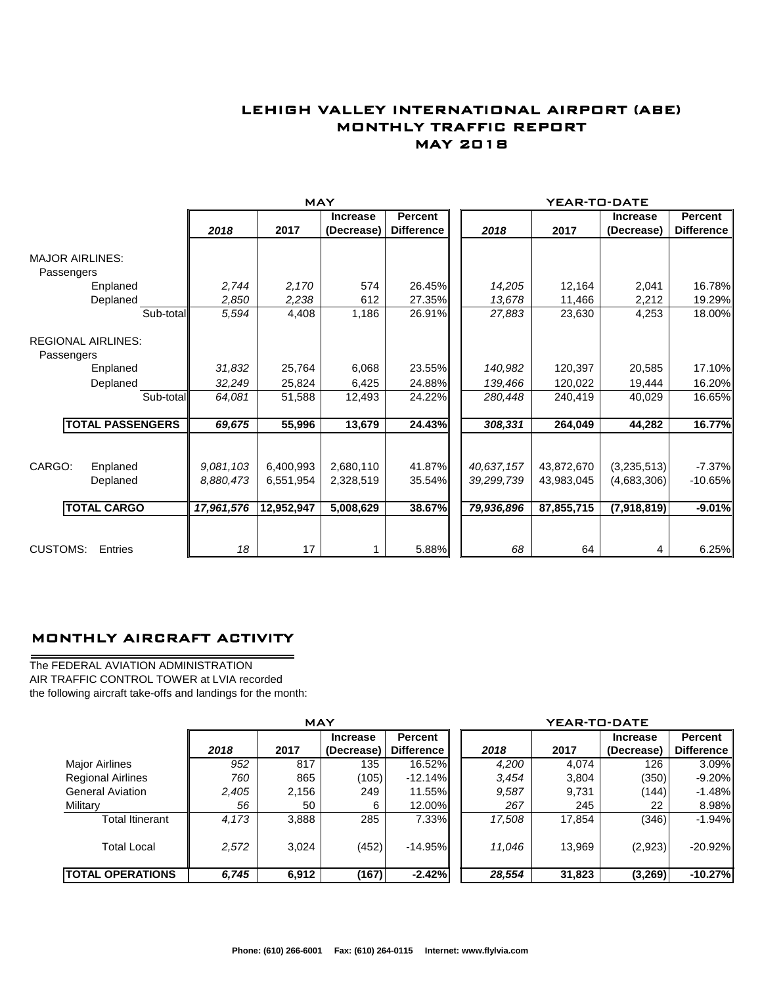## LEHIGH VALLEY INTERNATIONAL AIRPORT (ABE) MONTHLY TRAFFIC REPORT MAY 2018

|                                         |                         | <b>MAY</b> |            |                               |                                     |  | YEAR-TO-DATE |            |                               |                                     |  |
|-----------------------------------------|-------------------------|------------|------------|-------------------------------|-------------------------------------|--|--------------|------------|-------------------------------|-------------------------------------|--|
|                                         |                         | 2018       | 2017       | <b>Increase</b><br>(Decrease) | <b>Percent</b><br><b>Difference</b> |  | 2018         | 2017       | <b>Increase</b><br>(Decrease) | <b>Percent</b><br><b>Difference</b> |  |
| <b>MAJOR AIRLINES:</b>                  |                         |            |            |                               |                                     |  |              |            |                               |                                     |  |
| Passengers                              |                         |            |            |                               |                                     |  |              |            |                               |                                     |  |
|                                         | Enplaned                | 2,744      | 2,170      | 574                           | 26.45%                              |  | 14,205       | 12,164     | 2,041                         | 16.78%                              |  |
|                                         | Deplaned                | 2,850      | 2,238      | 612                           | 27.35%                              |  | 13,678       | 11,466     | 2,212                         | 19.29%                              |  |
|                                         | Sub-total               | 5,594      | 4,408      | 1,186                         | 26.91%                              |  | 27,883       | 23,630     | 4,253                         | 18.00%                              |  |
| <b>REGIONAL AIRLINES:</b><br>Passengers |                         |            |            |                               |                                     |  |              |            |                               |                                     |  |
|                                         | Enplaned                | 31,832     | 25,764     | 6,068                         | 23.55%                              |  | 140,982      | 120,397    | 20,585                        | 17.10%                              |  |
|                                         | Deplaned                | 32,249     | 25,824     | 6,425                         | 24.88%                              |  | 139,466      | 120,022    | 19,444                        | 16.20%                              |  |
|                                         | Sub-total               | 64,081     | 51,588     | 12,493                        | 24.22%                              |  | 280,448      | 240,419    | 40,029                        | 16.65%                              |  |
|                                         | <b>TOTAL PASSENGERS</b> | 69,675     | 55,996     | 13,679                        | 24.43%                              |  | 308,331      | 264,049    | 44,282                        | 16.77%                              |  |
|                                         |                         |            |            |                               |                                     |  |              |            |                               |                                     |  |
| CARGO:                                  | Enplaned                | 9.081.103  | 6,400,993  | 2,680,110                     | 41.87%                              |  | 40,637,157   | 43,872,670 | (3,235,513)                   | $-7.37%$                            |  |
|                                         | Deplaned                | 8,880,473  | 6,551,954  | 2,328,519                     | 35.54%                              |  | 39,299,739   | 43,983,045 | (4,683,306)                   | $-10.65%$                           |  |
|                                         | <b>TOTAL CARGO</b>      | 17,961,576 | 12,952,947 | 5,008,629                     | 38.67%                              |  | 79,936,896   | 87,855,715 | (7,918,819)                   | $-9.01%$                            |  |
|                                         |                         |            |            |                               |                                     |  |              |            |                               |                                     |  |
| <b>CUSTOMS:</b>                         | Entries                 | 18         | 17         |                               | 5.88%                               |  | 68           | 64         | 4                             | 6.25%                               |  |

### MONTHLY AIRCRAFT ACTIVITY

The FEDERAL AVIATION ADMINISTRATION AIR TRAFFIC CONTROL TOWER at LVIA recorded the following aircraft take-offs and landings for the month:

 $\overline{\phantom{0}}$ 

|                          | <b>MAY</b> |       |                 |                   |  | YEAR-TO-DATE |        |                 |                   |  |  |
|--------------------------|------------|-------|-----------------|-------------------|--|--------------|--------|-----------------|-------------------|--|--|
|                          |            |       | <b>Increase</b> | <b>Percent</b>    |  |              |        | <b>Increase</b> | <b>Percent</b>    |  |  |
|                          | 2018       | 2017  | (Decrease)      | <b>Difference</b> |  | 2018         | 2017   | (Decrease)      | <b>Difference</b> |  |  |
| Major Airlines           | 952        | 817   | 135             | 16.52%            |  | 4,200        | 4,074  | 126             | 3.09%             |  |  |
| <b>Regional Airlines</b> | 760        | 865   | (105)           | $-12.14\%$        |  | 3,454        | 3,804  | (350)           | $-9.20\%$         |  |  |
| <b>General Aviation</b>  | 2,405      | 2,156 | 249             | 11.55%            |  | 9,587        | 9,731  | (144)           | $-1.48\%$         |  |  |
| Military                 | 56         | 50    | 6               | 12.00%            |  | 267          | 245    | 22              | 8.98%             |  |  |
| <b>Total Itinerant</b>   | 4.173      | 3,888 | 285             | 7.33%             |  | 17,508       | 17,854 | (346)           | $-1.94\%$         |  |  |
| <b>Total Local</b>       | 2,572      | 3,024 | (452)           | $-14.95%$         |  | 11,046       | 13,969 | (2,923)         | $-20.92\%$        |  |  |
| <b>TOTAL OPERATIONS</b>  | 6,745      | 6,912 | (167)           | $-2.42%$          |  | 28,554       | 31,823 | (3,269)         | $-10.27%$         |  |  |